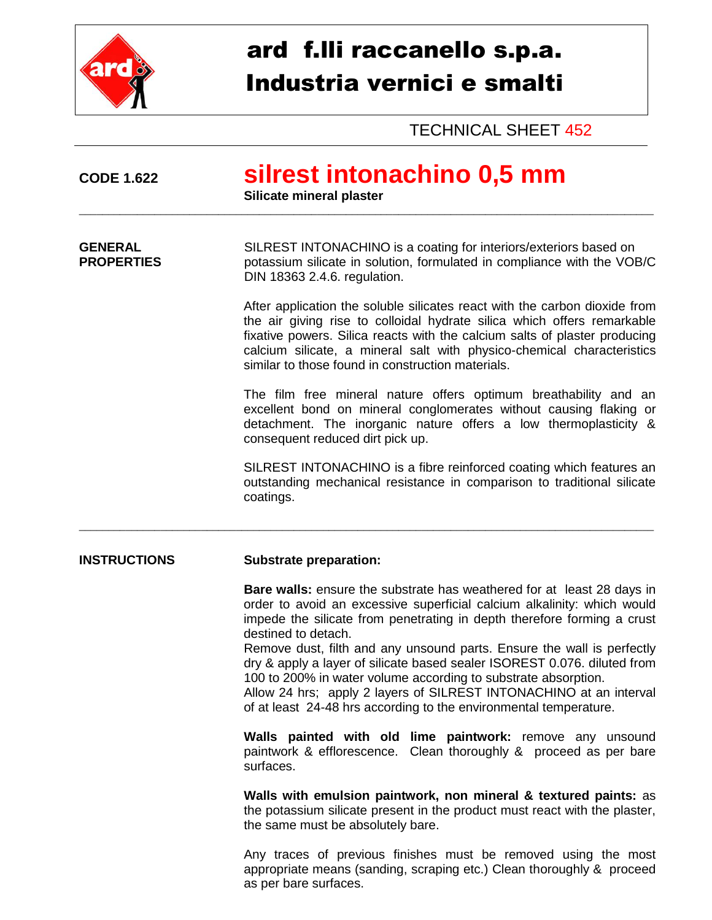

## ard f.lli raccanello s.p.a. Industria vernici e smalti

TECHNICAL SHEET 452

| <b>CODE 1.622</b>                   | silrest intonachino 0,5 mm<br>Silicate mineral plaster                                                                                                                                                                                                                                                                                                                                                                                                                                                                                                                                                                        |  |  |
|-------------------------------------|-------------------------------------------------------------------------------------------------------------------------------------------------------------------------------------------------------------------------------------------------------------------------------------------------------------------------------------------------------------------------------------------------------------------------------------------------------------------------------------------------------------------------------------------------------------------------------------------------------------------------------|--|--|
| <b>GENERAL</b><br><b>PROPERTIES</b> | SILREST INTONACHINO is a coating for interiors/exteriors based on<br>potassium silicate in solution, formulated in compliance with the VOB/C<br>DIN 18363 2.4.6. regulation.                                                                                                                                                                                                                                                                                                                                                                                                                                                  |  |  |
|                                     | After application the soluble silicates react with the carbon dioxide from<br>the air giving rise to colloidal hydrate silica which offers remarkable<br>fixative powers. Silica reacts with the calcium salts of plaster producing<br>calcium silicate, a mineral salt with physico-chemical characteristics<br>similar to those found in construction materials.                                                                                                                                                                                                                                                            |  |  |
|                                     | The film free mineral nature offers optimum breathability and an<br>excellent bond on mineral conglomerates without causing flaking or<br>detachment. The inorganic nature offers a low thermoplasticity &<br>consequent reduced dirt pick up.                                                                                                                                                                                                                                                                                                                                                                                |  |  |
|                                     | SILREST INTONACHINO is a fibre reinforced coating which features an<br>outstanding mechanical resistance in comparison to traditional silicate<br>coatings.                                                                                                                                                                                                                                                                                                                                                                                                                                                                   |  |  |
| <b>INSTRUCTIONS</b>                 | <b>Substrate preparation:</b>                                                                                                                                                                                                                                                                                                                                                                                                                                                                                                                                                                                                 |  |  |
|                                     | <b>Bare walls:</b> ensure the substrate has weathered for at least 28 days in<br>order to avoid an excessive superficial calcium alkalinity: which would<br>impede the silicate from penetrating in depth therefore forming a crust<br>destined to detach.<br>Remove dust, filth and any unsound parts. Ensure the wall is perfectly<br>dry & apply a layer of silicate based sealer ISOREST 0.076. diluted from<br>100 to 200% in water volume according to substrate absorption.<br>Allow 24 hrs; apply 2 layers of SILREST INTONACHINO at an interval<br>of at least 24-48 hrs according to the environmental temperature. |  |  |
|                                     | Walls painted with old lime paintwork: remove any unsound<br>paintwork & efflorescence. Clean thoroughly & proceed as per bare<br>surfaces.                                                                                                                                                                                                                                                                                                                                                                                                                                                                                   |  |  |
|                                     | Walls with emulsion paintwork, non mineral & textured paints: as<br>the potassium silicate present in the product must react with the plaster,<br>the same must be absolutely bare.                                                                                                                                                                                                                                                                                                                                                                                                                                           |  |  |
|                                     | Any traces of previous finishes must be removed using the most<br>appropriate means (sanding, scraping etc.) Clean thoroughly & proceed<br>as per bare surfaces.                                                                                                                                                                                                                                                                                                                                                                                                                                                              |  |  |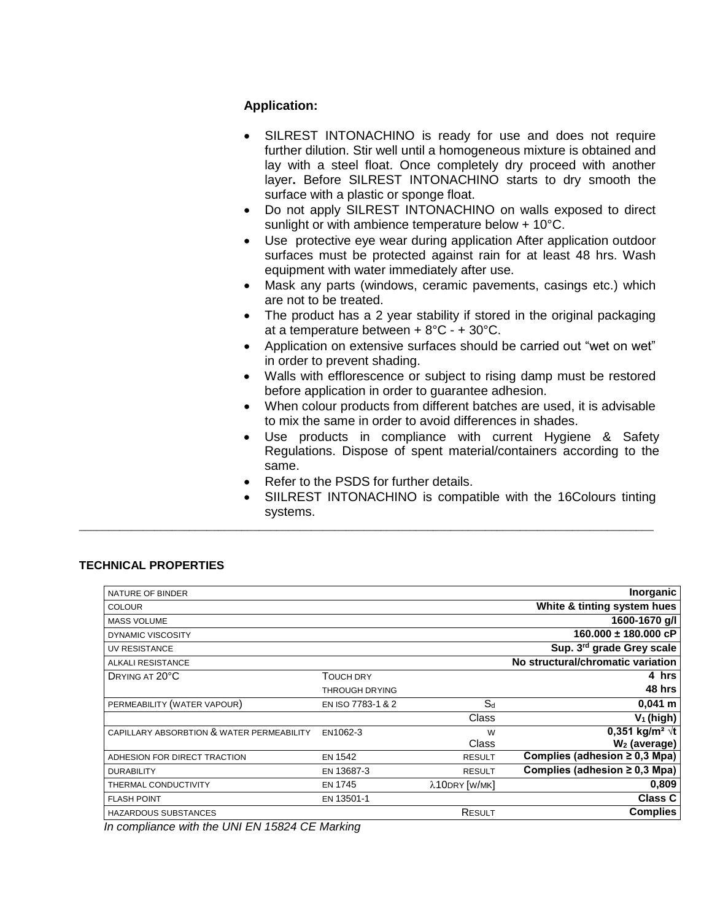## **Application:**

- SILREST INTONACHINO is ready for use and does not require further dilution. Stir well until a homogeneous mixture is obtained and lay with a steel float. Once completely dry proceed with another layer**.** Before SILREST INTONACHINO starts to dry smooth the surface with a plastic or sponge float.
- Do not apply SILREST INTONACHINO on walls exposed to direct sunlight or with ambience temperature below + 10°C.
- Use protective eye wear during application After application outdoor surfaces must be protected against rain for at least 48 hrs. Wash equipment with water immediately after use.
- Mask any parts (windows, ceramic pavements, casings etc.) which are not to be treated.
- The product has a 2 year stability if stored in the original packaging at a temperature between + 8°C - + 30°C.
- Application on extensive surfaces should be carried out "wet on wet" in order to prevent shading.
- Walls with efflorescence or subject to rising damp must be restored before application in order to guarantee adhesion.
- When colour products from different batches are used, it is advisable to mix the same in order to avoid differences in shades.
- Use products in compliance with current Hygiene & Safety Regulations. Dispose of spent material/containers according to the same.
- Refer to the PSDS for further details.

\_\_\_\_\_\_\_\_\_\_\_\_\_\_\_\_\_\_\_\_\_\_\_\_\_\_\_\_\_\_\_\_\_\_\_\_\_\_\_\_\_\_\_\_\_\_\_\_\_\_\_\_\_\_\_\_\_\_\_\_\_\_\_\_\_\_\_\_\_\_\_\_\_\_\_\_\_\_\_\_\_\_\_\_\_\_\_\_\_\_\_\_\_\_\_\_\_\_\_

 SIILREST INTONACHINO is compatible with the 16Colours tinting systems.

## **TECHNICAL PROPERTIES**

| NATURE OF BINDER                          |                       |               | Inorganic                          |
|-------------------------------------------|-----------------------|---------------|------------------------------------|
| <b>COLOUR</b>                             |                       |               | White & tinting system hues        |
| <b>MASS VOLUME</b>                        |                       |               | 1600-1670 g/l                      |
| DYNAMIC VISCOSITY                         |                       |               | 160.000 ± 180.000 cP               |
| <b>UV RESISTANCE</b>                      |                       |               | Sup. 3rd grade Grey scale          |
| <b>ALKALI RESISTANCE</b>                  |                       |               | No structural/chromatic variation  |
| DRYING AT 20°C                            | <b>TOUCH DRY</b>      |               | 4 hrs                              |
|                                           | <b>THROUGH DRYING</b> |               | 48 hrs                             |
| PERMEABILITY (WATER VAPOUR)               | EN ISO 7783-1 & 2     | $S_d$         | $0,041 \; m$                       |
|                                           |                       | Class         | $V_1$ (high)                       |
| CAPILLARY ABSORBTION & WATER PERMEABILITY | EN1062-3              | W             | 0,351 kg/m <sup>2</sup> $\sqrt{t}$ |
|                                           |                       | Class         | $W2$ (average)                     |
| ADHESION FOR DIRECT TRACTION              | <b>EN 1542</b>        | <b>RESULT</b> | Complies (adhesion $\geq$ 0,3 Mpa) |
| <b>DURABILITY</b>                         | EN 13687-3            | <b>RESULT</b> | Complies (adhesion $\geq$ 0,3 Mpa) |
| THERMAL CONDUCTIVITY                      | <b>EN 1745</b>        | λ10DRY [W/MK] | 0,809                              |
| <b>FLASH POINT</b>                        | EN 13501-1            |               | <b>Class C</b>                     |
| <b>HAZARDOUS SUBSTANCES</b>               |                       | RESULT        | <b>Complies</b>                    |

*In compliance with the UNI EN 15824 CE Marking*